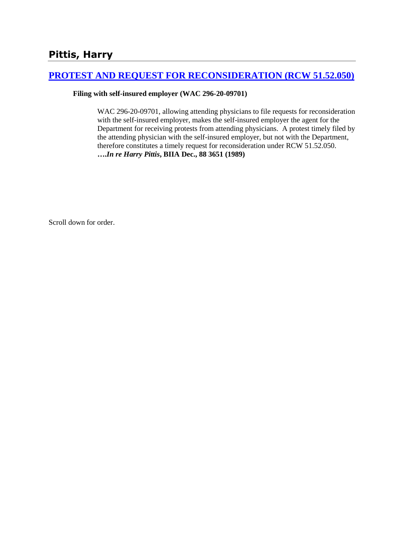# **[PROTEST AND REQUEST FOR RECONSIDERATION \(RCW 51.52.050\)](http://www.biia.wa.gov/SDSubjectIndex.html#PROTEST_AND_REQUEST_FOR_RECONSIDERATION)**

### **Filing with self-insured employer (WAC 296-20-09701)**

WAC 296-20-09701, allowing attending physicians to file requests for reconsideration with the self-insured employer, makes the self-insured employer the agent for the Department for receiving protests from attending physicians. A protest timely filed by the attending physician with the self-insured employer, but not with the Department, therefore constitutes a timely request for reconsideration under RCW 51.52.050. **….***In re Harry Pittis***, BIIA Dec., 88 3651 (1989)** 

Scroll down for order.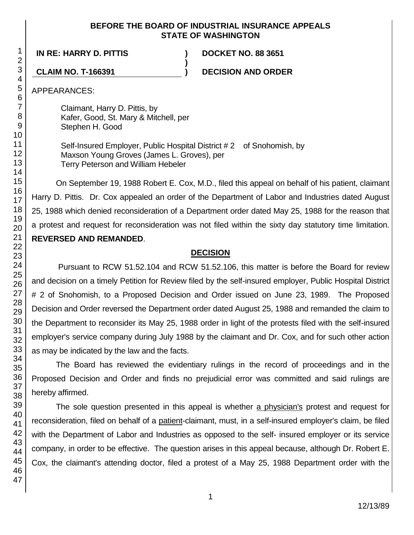### **BEFORE THE BOARD OF INDUSTRIAL INSURANCE APPEALS STATE OF WASHINGTON**

**IN RE: HARRY D. PITTIS ) DOCKET NO. 88 3651**

**CLAIM NO. T-166391 ) DECISION AND ORDER**

APPEARANCES:

Claimant, Harry D. Pittis, by Kafer, Good, St. Mary & Mitchell, per Stephen H. Good

Self-Insured Employer, Public Hospital District # 2 of Snohomish, by Maxson Young Groves (James L. Groves), per Terry Peterson and William Hebeler

**)**

On September 19, 1988 Robert E. Cox, M.D., filed this appeal on behalf of his patient, claimant Harry D. Pittis. Dr. Cox appealed an order of the Department of Labor and Industries dated August 25, 1988 which denied reconsideration of a Department order dated May 25, 1988 for the reason that a protest and request for reconsideration was not filed within the sixty day statutory time limitation. **REVERSED AND REMANDED**.

# **DECISION**

Pursuant to RCW 51.52.104 and RCW 51.52.106, this matter is before the Board for review and decision on a timely Petition for Review filed by the self-insured employer, Public Hospital District # 2 of Snohomish, to a Proposed Decision and Order issued on June 23, 1989. The Proposed Decision and Order reversed the Department order dated August 25, 1988 and remanded the claim to the Department to reconsider its May 25, 1988 order in light of the protests filed with the self-insured employer's service company during July 1988 by the claimant and Dr. Cox, and for such other action as may be indicated by the law and the facts.

The Board has reviewed the evidentiary rulings in the record of proceedings and in the Proposed Decision and Order and finds no prejudicial error was committed and said rulings are hereby affirmed.

The sole question presented in this appeal is whether a physician's protest and request for reconsideration, filed on behalf of a patient-claimant, must, in a self-insured employer's claim, be filed with the Department of Labor and Industries as opposed to the self- insured employer or its service company, in order to be effective. The question arises in this appeal because, although Dr. Robert E. Cox, the claimant's attending doctor, filed a protest of a May 25, 1988 Department order with the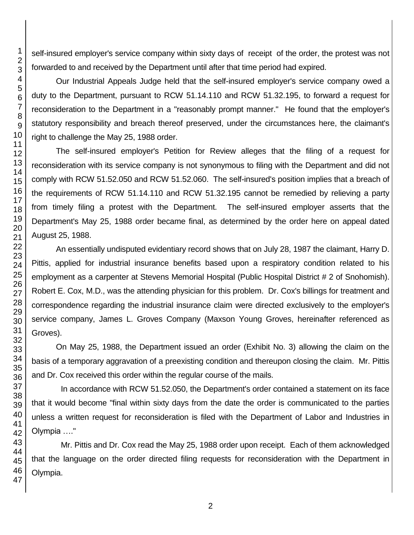self-insured employer's service company within sixty days of receipt of the order, the protest was not forwarded to and received by the Department until after that time period had expired.

Our Industrial Appeals Judge held that the self-insured employer's service company owed a duty to the Department, pursuant to RCW 51.14.110 and RCW 51.32.195, to forward a request for reconsideration to the Department in a "reasonably prompt manner." He found that the employer's statutory responsibility and breach thereof preserved, under the circumstances here, the claimant's right to challenge the May 25, 1988 order.

The self-insured employer's Petition for Review alleges that the filing of a request for reconsideration with its service company is not synonymous to filing with the Department and did not comply with RCW 51.52.050 and RCW 51.52.060. The self-insured's position implies that a breach of the requirements of RCW 51.14.110 and RCW 51.32.195 cannot be remedied by relieving a party from timely filing a protest with the Department. The self-insured employer asserts that the Department's May 25, 1988 order became final, as determined by the order here on appeal dated August 25, 1988.

An essentially undisputed evidentiary record shows that on July 28, 1987 the claimant, Harry D. Pittis, applied for industrial insurance benefits based upon a respiratory condition related to his employment as a carpenter at Stevens Memorial Hospital (Public Hospital District # 2 of Snohomish). Robert E. Cox, M.D., was the attending physician for this problem. Dr. Cox's billings for treatment and correspondence regarding the industrial insurance claim were directed exclusively to the employer's service company, James L. Groves Company (Maxson Young Groves, hereinafter referenced as Groves).

On May 25, 1988, the Department issued an order (Exhibit No. 3) allowing the claim on the basis of a temporary aggravation of a preexisting condition and thereupon closing the claim. Mr. Pittis and Dr. Cox received this order within the regular course of the mails.

In accordance with RCW 51.52.050, the Department's order contained a statement on its face that it would become "final within sixty days from the date the order is communicated to the parties unless a written request for reconsideration is filed with the Department of Labor and Industries in Olympia …."

Mr. Pittis and Dr. Cox read the May 25, 1988 order upon receipt. Each of them acknowledged that the language on the order directed filing requests for reconsideration with the Department in Olympia.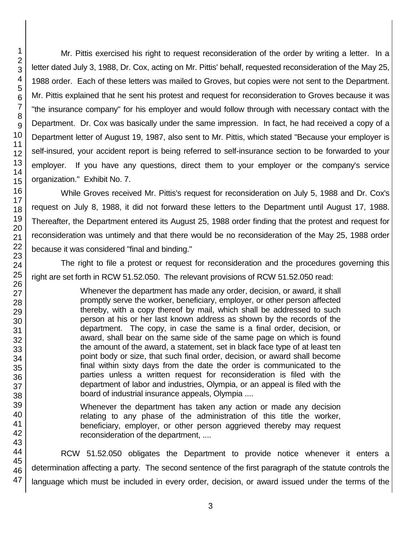Mr. Pittis exercised his right to request reconsideration of the order by writing a letter. In a letter dated July 3, 1988, Dr. Cox, acting on Mr. Pittis' behalf, requested reconsideration of the May 25, 1988 order. Each of these letters was mailed to Groves, but copies were not sent to the Department. Mr. Pittis explained that he sent his protest and request for reconsideration to Groves because it was "the insurance company" for his employer and would follow through with necessary contact with the Department. Dr. Cox was basically under the same impression. In fact, he had received a copy of a Department letter of August 19, 1987, also sent to Mr. Pittis, which stated "Because your employer is self-insured, your accident report is being referred to self-insurance section to be forwarded to your employer. If you have any questions, direct them to your employer or the company's service organization." Exhibit No. 7.

While Groves received Mr. Pittis's request for reconsideration on July 5, 1988 and Dr. Cox's request on July 8, 1988, it did not forward these letters to the Department until August 17, 1988. Thereafter, the Department entered its August 25, 1988 order finding that the protest and request for reconsideration was untimely and that there would be no reconsideration of the May 25, 1988 order because it was considered "final and binding."

The right to file a protest or request for reconsideration and the procedures governing this right are set forth in RCW 51.52.050. The relevant provisions of RCW 51.52.050 read:

> Whenever the department has made any order, decision, or award, it shall promptly serve the worker, beneficiary, employer, or other person affected thereby, with a copy thereof by mail, which shall be addressed to such person at his or her last known address as shown by the records of the department. The copy, in case the same is a final order, decision, or award, shall bear on the same side of the same page on which is found the amount of the award, a statement, set in black face type of at least ten point body or size, that such final order, decision, or award shall become final within sixty days from the date the order is communicated to the parties unless a written request for reconsideration is filed with the department of labor and industries, Olympia, or an appeal is filed with the board of industrial insurance appeals, Olympia ....

> Whenever the department has taken any action or made any decision relating to any phase of the administration of this title the worker, beneficiary, employer, or other person aggrieved thereby may request reconsideration of the department, ....

47 RCW 51.52.050 obligates the Department to provide notice whenever it enters a determination affecting a party. The second sentence of the first paragraph of the statute controls the language which must be included in every order, decision, or award issued under the terms of the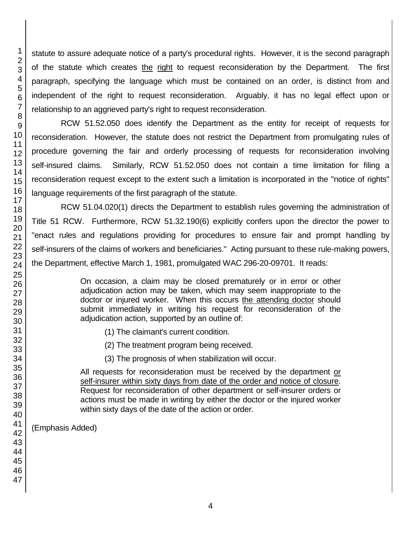statute to assure adequate notice of a party's procedural rights. However, it is the second paragraph of the statute which creates the right to request reconsideration by the Department. The first paragraph, specifying the language which must be contained on an order, is distinct from and independent of the right to request reconsideration. Arguably, it has no legal effect upon or relationship to an aggrieved party's right to request reconsideration.

RCW 51.52.050 does identify the Department as the entity for receipt of requests for reconsideration. However, the statute does not restrict the Department from promulgating rules of procedure governing the fair and orderly processing of requests for reconsideration involving self-insured claims. Similarly, RCW 51.52.050 does not contain a time limitation for filing a reconsideration request except to the extent such a limitation is incorporated in the "notice of rights" language requirements of the first paragraph of the statute.

RCW 51.04.020(1) directs the Department to establish rules governing the administration of Title 51 RCW. Furthermore, RCW 51.32.190(6) explicitly confers upon the director the power to "enact rules and regulations providing for procedures to ensure fair and prompt handling by self-insurers of the claims of workers and beneficiaries." Acting pursuant to these rule-making powers, the Department, effective March 1, 1981, promulgated WAC 296-20-09701. It reads:

> On occasion, a claim may be closed prematurely or in error or other adjudication action may be taken, which may seem inappropriate to the doctor or injured worker. When this occurs the attending doctor should submit immediately in writing his request for reconsideration of the adjudication action, supported by an outline of:

- (1) The claimant's current condition.
- (2) The treatment program being received.
- (3) The prognosis of when stabilization will occur.

All requests for reconsideration must be received by the department or self-insurer within sixty days from date of the order and notice of closure. Request for reconsideration of other department or self-insurer orders or actions must be made in writing by either the doctor or the injured worker within sixty days of the date of the action or order.

(Emphasis Added)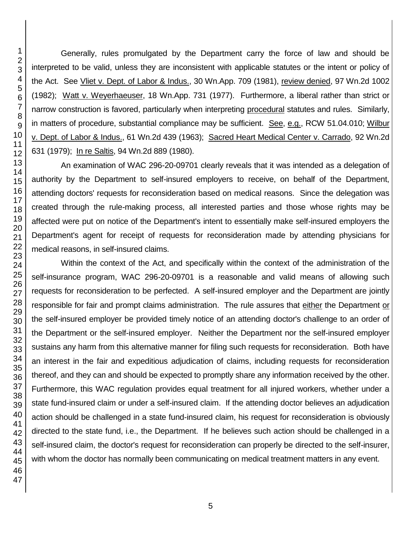Generally, rules promulgated by the Department carry the force of law and should be interpreted to be valid, unless they are inconsistent with applicable statutes or the intent or policy of the Act. See Vliet v. Dept. of Labor & Indus., 30 Wn.App. 709 (1981), review denied, 97 Wn.2d 1002 (1982); Watt v. Weyerhaeuser, 18 Wn.App. 731 (1977). Furthermore, a liberal rather than strict or narrow construction is favored, particularly when interpreting procedural statutes and rules. Similarly, in matters of procedure, substantial compliance may be sufficient. See, e.g., RCW 51.04.010; Wilbur v. Dept. of Labor & Indus., 61 Wn.2d 439 (1963); Sacred Heart Medical Center v. Carrado, 92 Wn.2d 631 (1979); In re Saltis, 94 Wn.2d 889 (1980).

An examination of WAC 296-20-09701 clearly reveals that it was intended as a delegation of authority by the Department to self-insured employers to receive, on behalf of the Department, attending doctors' requests for reconsideration based on medical reasons. Since the delegation was created through the rule-making process, all interested parties and those whose rights may be affected were put on notice of the Department's intent to essentially make self-insured employers the Department's agent for receipt of requests for reconsideration made by attending physicians for medical reasons, in self-insured claims.

Within the context of the Act, and specifically within the context of the administration of the self-insurance program, WAC 296-20-09701 is a reasonable and valid means of allowing such requests for reconsideration to be perfected. A self-insured employer and the Department are jointly responsible for fair and prompt claims administration. The rule assures that either the Department or the self-insured employer be provided timely notice of an attending doctor's challenge to an order of the Department or the self-insured employer. Neither the Department nor the self-insured employer sustains any harm from this alternative manner for filing such requests for reconsideration. Both have an interest in the fair and expeditious adjudication of claims, including requests for reconsideration thereof, and they can and should be expected to promptly share any information received by the other. Furthermore, this WAC regulation provides equal treatment for all injured workers, whether under a state fund-insured claim or under a self-insured claim. If the attending doctor believes an adjudication action should be challenged in a state fund-insured claim, his request for reconsideration is obviously directed to the state fund, i.e., the Department. If he believes such action should be challenged in a self-insured claim, the doctor's request for reconsideration can properly be directed to the self-insurer, with whom the doctor has normally been communicating on medical treatment matters in any event.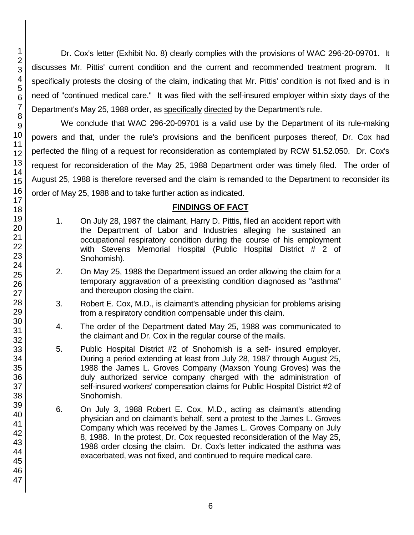Dr. Cox's letter (Exhibit No. 8) clearly complies with the provisions of WAC 296-20-09701. It discusses Mr. Pittis' current condition and the current and recommended treatment program. It specifically protests the closing of the claim, indicating that Mr. Pittis' condition is not fixed and is in need of "continued medical care." It was filed with the self-insured employer within sixty days of the Department's May 25, 1988 order, as specifically directed by the Department's rule.

We conclude that WAC 296-20-09701 is a valid use by the Department of its rule-making powers and that, under the rule's provisions and the benificent purposes thereof, Dr. Cox had perfected the filing of a request for reconsideration as contemplated by RCW 51.52.050. Dr. Cox's request for reconsideration of the May 25, 1988 Department order was timely filed. The order of August 25, 1988 is therefore reversed and the claim is remanded to the Department to reconsider its order of May 25, 1988 and to take further action as indicated.

## **FINDINGS OF FACT**

- 1. On July 28, 1987 the claimant, Harry D. Pittis, filed an accident report with the Department of Labor and Industries alleging he sustained an occupational respiratory condition during the course of his employment with Stevens Memorial Hospital (Public Hospital District # 2 of Snohomish).
- 2. On May 25, 1988 the Department issued an order allowing the claim for a temporary aggravation of a preexisting condition diagnosed as "asthma" and thereupon closing the claim.
- 3. Robert E. Cox, M.D., is claimant's attending physician for problems arising from a respiratory condition compensable under this claim.
- 4. The order of the Department dated May 25, 1988 was communicated to the claimant and Dr. Cox in the regular course of the mails.
- 5. Public Hospital District #2 of Snohomish is a self- insured employer. During a period extending at least from July 28, 1987 through August 25, 1988 the James L. Groves Company (Maxson Young Groves) was the duly authorized service company charged with the administration of self-insured workers' compensation claims for Public Hospital District #2 of Snohomish.
- 6. On July 3, 1988 Robert E. Cox, M.D., acting as claimant's attending physician and on claimant's behalf, sent a protest to the James L. Groves Company which was received by the James L. Groves Company on July 8, 1988. In the protest, Dr. Cox requested reconsideration of the May 25, 1988 order closing the claim. Dr. Cox's letter indicated the asthma was exacerbated, was not fixed, and continued to require medical care.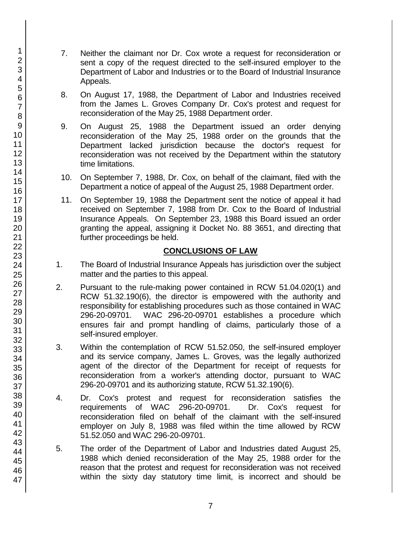- 7. Neither the claimant nor Dr. Cox wrote a request for reconsideration or sent a copy of the request directed to the self-insured employer to the Department of Labor and Industries or to the Board of Industrial Insurance Appeals.
- 8. On August 17, 1988, the Department of Labor and Industries received from the James L. Groves Company Dr. Cox's protest and request for reconsideration of the May 25, 1988 Department order.
- 9. On August 25, 1988 the Department issued an order denying reconsideration of the May 25, 1988 order on the grounds that the Department lacked jurisdiction because the doctor's request for reconsideration was not received by the Department within the statutory time limitations.
- 10. On September 7, 1988, Dr. Cox, on behalf of the claimant, filed with the Department a notice of appeal of the August 25, 1988 Department order.
- 11. On September 19, 1988 the Department sent the notice of appeal it had received on September 7, 1988 from Dr. Cox to the Board of Industrial Insurance Appeals. On September 23, 1988 this Board issued an order granting the appeal, assigning it Docket No. 88 3651, and directing that further proceedings be held.

# **CONCLUSIONS OF LAW**

- 1. The Board of Industrial Insurance Appeals has jurisdiction over the subject matter and the parties to this appeal.
- 2. Pursuant to the rule-making power contained in RCW 51.04.020(1) and RCW 51.32.190(6), the director is empowered with the authority and responsibility for establishing procedures such as those contained in WAC 296-20-09701. WAC 296-20-09701 establishes a procedure which ensures fair and prompt handling of claims, particularly those of a self-insured employer.
- 3. Within the contemplation of RCW 51.52.050, the self-insured employer and its service company, James L. Groves, was the legally authorized agent of the director of the Department for receipt of requests for reconsideration from a worker's attending doctor, pursuant to WAC 296-20-09701 and its authorizing statute, RCW 51.32.190(6).
- 4. Dr. Cox's protest and request for reconsideration satisfies the requirements of WAC 296-20-09701. Dr. Cox's request for reconsideration filed on behalf of the claimant with the self-insured employer on July 8, 1988 was filed within the time allowed by RCW 51.52.050 and WAC 296-20-09701.
- 5. The order of the Department of Labor and Industries dated August 25, 1988 which denied reconsideration of the May 25, 1988 order for the reason that the protest and request for reconsideration was not received within the sixty day statutory time limit, is incorrect and should be